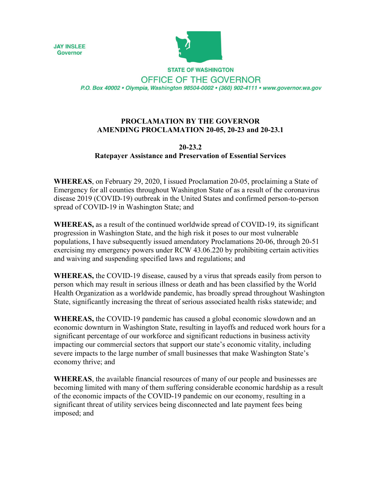



**STATE OF WASHINGTON** OFFICE OF THE GOVERNOR P.O. Box 40002 · Olympia, Washington 98504-0002 · (360) 902-4111 · www.governor.wa.gov

## **PROCLAMATION BY THE GOVERNOR AMENDING PROCLAMATION 20-05, 20-23 and 20-23.1**

## **20-23.2 Ratepayer Assistance and Preservation of Essential Services**

**WHEREAS**, on February 29, 2020, I issued Proclamation 20-05, proclaiming a State of Emergency for all counties throughout Washington State of as a result of the coronavirus disease 2019 (COVID-19) outbreak in the United States and confirmed person-to-person spread of COVID-19 in Washington State; and

**WHEREAS,** as a result of the continued worldwide spread of COVID-19, its significant progression in Washington State, and the high risk it poses to our most vulnerable populations, I have subsequently issued amendatory Proclamations 20-06, through 20-51 exercising my emergency powers under RCW 43.06.220 by prohibiting certain activities and waiving and suspending specified laws and regulations; and

**WHEREAS,** the COVID-19 disease, caused by a virus that spreads easily from person to person which may result in serious illness or death and has been classified by the World Health Organization as a worldwide pandemic, has broadly spread throughout Washington State, significantly increasing the threat of serious associated health risks statewide; and

**WHEREAS,** the COVID-19 pandemic has caused a global economic slowdown and an economic downturn in Washington State, resulting in layoffs and reduced work hours for a significant percentage of our workforce and significant reductions in business activity impacting our commercial sectors that support our state's economic vitality, including severe impacts to the large number of small businesses that make Washington State's economy thrive; and

**WHEREAS**, the available financial resources of many of our people and businesses are becoming limited with many of them suffering considerable economic hardship as a result of the economic impacts of the COVID-19 pandemic on our economy, resulting in a significant threat of utility services being disconnected and late payment fees being imposed; and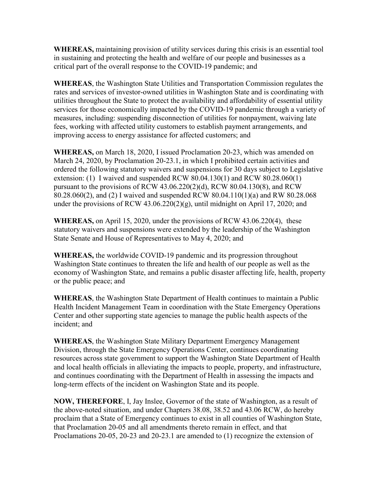**WHEREAS,** maintaining provision of utility services during this crisis is an essential tool in sustaining and protecting the health and welfare of our people and businesses as a critical part of the overall response to the COVID-19 pandemic; and

**WHEREAS**, the Washington State Utilities and Transportation Commission regulates the rates and services of investor-owned utilities in Washington State and is coordinating with utilities throughout the State to protect the availability and affordability of essential utility services for those economically impacted by the COVID-19 pandemic through a variety of measures, including: suspending disconnection of utilities for nonpayment, waiving late fees, working with affected utility customers to establish payment arrangements, and improving access to energy assistance for affected customers; and

**WHEREAS,** on March 18, 2020, I issued Proclamation 20-23, which was amended on March 24, 2020, by Proclamation 20-23.1, in which I prohibited certain activities and ordered the following statutory waivers and suspensions for 30 days subject to Legislative extension: (1) I waived and suspended RCW 80.04.130(1) and RCW 80.28.060(1) pursuant to the provisions of RCW 43.06.220(2)(d), RCW 80.04.130(8), and RCW 80.28.060(2), and (2) I waived and suspended RCW 80.04.110(1)(a) and RW 80.28.068 under the provisions of RCW  $43.06.220(2)(g)$ , until midnight on April 17, 2020; and

**WHEREAS,** on April 15, 2020, under the provisions of RCW 43.06.220(4), these statutory waivers and suspensions were extended by the leadership of the Washington State Senate and House of Representatives to May 4, 2020; and

**WHEREAS,** the worldwide COVID-19 pandemic and its progression throughout Washington State continues to threaten the life and health of our people as well as the economy of Washington State, and remains a public disaster affecting life, health, property or the public peace; and

**WHEREAS**, the Washington State Department of Health continues to maintain a Public Health Incident Management Team in coordination with the State Emergency Operations Center and other supporting state agencies to manage the public health aspects of the incident; and

**WHEREAS**, the Washington State Military Department Emergency Management Division, through the State Emergency Operations Center, continues coordinating resources across state government to support the Washington State Department of Health and local health officials in alleviating the impacts to people, property, and infrastructure, and continues coordinating with the Department of Health in assessing the impacts and long-term effects of the incident on Washington State and its people.

**NOW, THEREFORE**, I, Jay Inslee, Governor of the state of Washington, as a result of the above-noted situation, and under Chapters 38.08, 38.52 and 43.06 RCW, do hereby proclaim that a State of Emergency continues to exist in all counties of Washington State, that Proclamation 20-05 and all amendments thereto remain in effect, and that Proclamations 20-05, 20-23 and 20-23.1 are amended to (1) recognize the extension of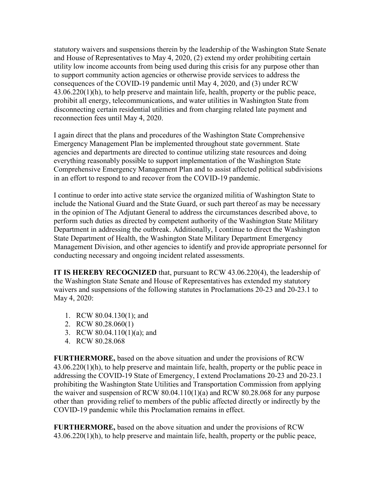statutory waivers and suspensions therein by the leadership of the Washington State Senate and House of Representatives to May 4, 2020, (2) extend my order prohibiting certain utility low income accounts from being used during this crisis for any purpose other than to support community action agencies or otherwise provide services to address the consequences of the COVID-19 pandemic until May 4, 2020, and (3) under RCW 43.06.220(1)(h), to help preserve and maintain life, health, property or the public peace, prohibit all energy, telecommunications, and water utilities in Washington State from disconnecting certain residential utilities and from charging related late payment and reconnection fees until May 4, 2020.

I again direct that the plans and procedures of the Washington State Comprehensive Emergency Management Plan be implemented throughout state government. State agencies and departments are directed to continue utilizing state resources and doing everything reasonably possible to support implementation of the Washington State Comprehensive Emergency Management Plan and to assist affected political subdivisions in an effort to respond to and recover from the COVID-19 pandemic.

I continue to order into active state service the organized militia of Washington State to include the National Guard and the State Guard, or such part thereof as may be necessary in the opinion of The Adjutant General to address the circumstances described above, to perform such duties as directed by competent authority of the Washington State Military Department in addressing the outbreak. Additionally, I continue to direct the Washington State Department of Health, the Washington State Military Department Emergency Management Division, and other agencies to identify and provide appropriate personnel for conducting necessary and ongoing incident related assessments.

**IT IS HEREBY RECOGNIZED** that, pursuant to RCW 43.06.220(4), the leadership of the Washington State Senate and House of Representatives has extended my statutory waivers and suspensions of the following statutes in Proclamations 20-23 and 20-23.1 to May 4, 2020:

- 1. RCW 80.04.130(1); and
- 2. RCW 80.28.060(1)
- 3. RCW 80.04.110(1)(a); and
- 4. RCW 80.28.068

**FURTHERMORE,** based on the above situation and under the provisions of RCW 43.06.220(1)(h), to help preserve and maintain life, health, property or the public peace in addressing the COVID-19 State of Emergency, I extend Proclamations 20-23 and 20-23.1 prohibiting the Washington State Utilities and Transportation Commission from applying the waiver and suspension of RCW 80.04.110(1)(a) and RCW 80.28.068 for any purpose other than providing relief to members of the public affected directly or indirectly by the COVID-19 pandemic while this Proclamation remains in effect.

**FURTHERMORE,** based on the above situation and under the provisions of RCW 43.06.220(1)(h), to help preserve and maintain life, health, property or the public peace,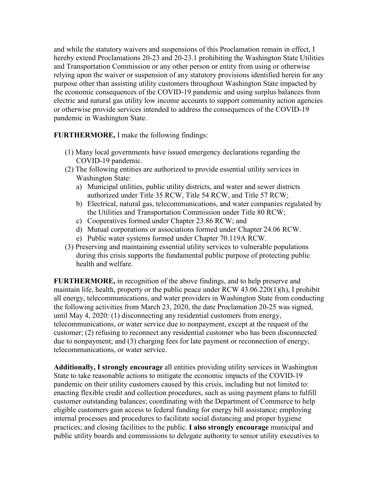and while the statutory waivers and suspensions of this Proclamation remain in effect, I hereby extend Proclamations 20-23 and 20-23.1 prohibiting the Washington State Utilities and Transportation Commission or any other person or entity from using or otherwise relying upon the waiver or suspension of any statutory provisions identified herein for any purpose other than assisting utility customers throughout Washington State impacted by the economic consequences of the COVID-19 pandemic and using surplus balances from electric and natural gas utility low income accounts to support community action agencies or otherwise provide services intended to address the consequences of the COVID-19 pandemic in Washington State.

**FURTHERMORE,** I make the following findings:

- (1) Many local governments have issued emergency declarations regarding the COVID-19 pandemic.
- (2) The following entities are authorized to provide essential utility services in Washington State:
	- a) Municipal utilities, public utility districts, and water and sewer districts authorized under Title 35 RCW, Title 54 RCW, and Title 57 RCW;
	- b) Electrical, natural gas, telecommunications, and water companies regulated by the Utilities and Transportation Commission under Title 80 RCW;
	- c) Cooperatives formed under Chapter 23.86 RCW; and
	- d) Mutual corporations or associations formed under Chapter 24.06 RCW.
	- e) Public water systems formed under Chapter 70.119A RCW.
- (3) Preserving and maintaining essential utility services to vulnerable populations during this crisis supports the fundamental public purpose of protecting public health and welfare.

**FURTHERMORE,** in recognition of the above findings, and to help preserve and maintain life, health, property or the public peace under RCW 43.06.220(1)(h), I prohibit all energy, telecommunications, and water providers in Washington State from conducting the following activities from March 23, 2020, the date Proclamation 20-25 was signed, until May 4, 2020: (1) disconnecting any residential customers from energy, telecommunications, or water service due to nonpayment, except at the request of the customer; (2) refusing to reconnect any residential customer who has been disconnected due to nonpayment; and (3) charging fees for late payment or reconnection of energy, telecommunications, or water service.

**Additionally, I strongly encourage** all entities providing utility services in Washington State to take reasonable actions to mitigate the economic impacts of the COVID-19 pandemic on their utility customers caused by this crisis, including but not limited to: enacting flexible credit and collection procedures, such as using payment plans to fulfill customer outstanding balances; coordinating with the Department of Commerce to help eligible customers gain access to federal funding for energy bill assistance; employing internal processes and procedures to facilitate social distancing and proper hygiene practices; and closing facilities to the public. **I also strongly encourage** municipal and public utility boards and commissions to delegate authority to senior utility executives to